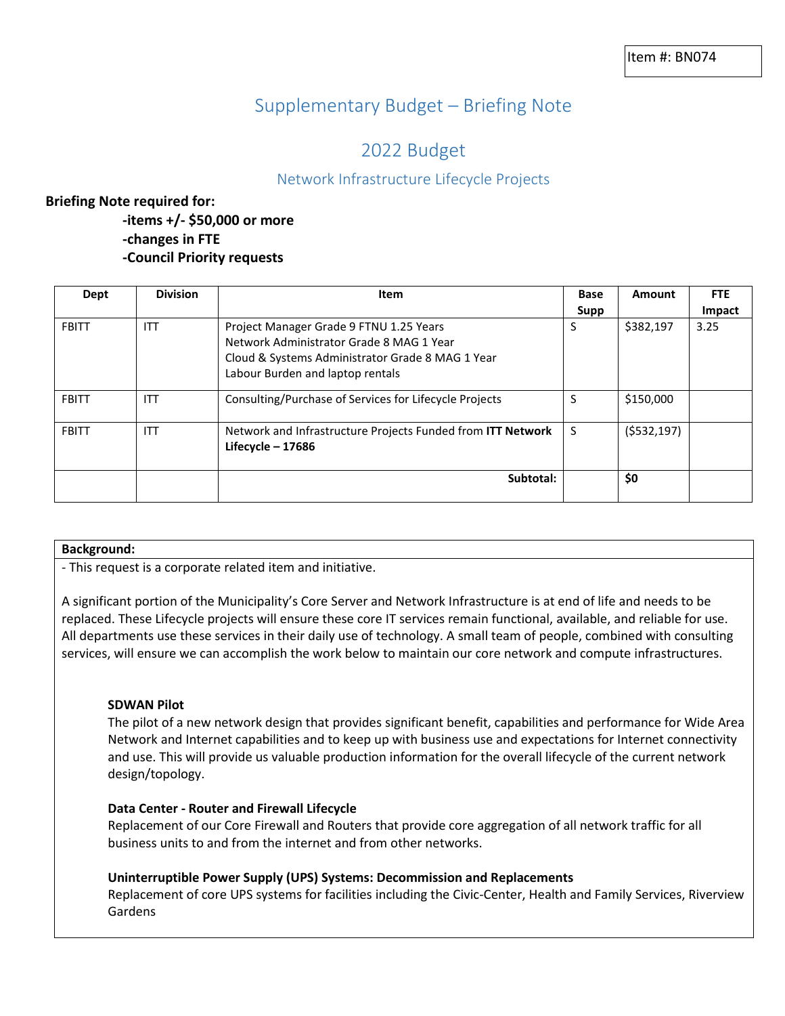# Supplementary Budget – Briefing Note

# 2022 Budget

# Network Infrastructure Lifecycle Projects

# **Briefing Note required for:**

**-items +/- \$50,000 or more -changes in FTE -Council Priority requests**

| Dept         | <b>Division</b> | Item                                                                                 | <b>Base</b> | Amount      | <b>FTE</b> |
|--------------|-----------------|--------------------------------------------------------------------------------------|-------------|-------------|------------|
|              |                 |                                                                                      | Supp        |             | Impact     |
| <b>FBITT</b> | <b>ITT</b>      | Project Manager Grade 9 FTNU 1.25 Years<br>Network Administrator Grade 8 MAG 1 Year  | S           | \$382,197   | 3.25       |
|              |                 | Cloud & Systems Administrator Grade 8 MAG 1 Year<br>Labour Burden and laptop rentals |             |             |            |
| <b>FBITT</b> | <b>ITT</b>      | Consulting/Purchase of Services for Lifecycle Projects                               | S           | \$150,000   |            |
| <b>FBITT</b> | <b>ITT</b>      | Network and Infrastructure Projects Funded from ITT Network<br>Lifecycle $-17686$    | S           | (5532, 197) |            |
|              |                 | Subtotal:                                                                            |             | \$0         |            |

#### **Background:**

- This request is a corporate related item and initiative.

A significant portion of the Municipality's Core Server and Network Infrastructure is at end of life and needs to be replaced. These Lifecycle projects will ensure these core IT services remain functional, available, and reliable for use. All departments use these services in their daily use of technology. A small team of people, combined with consulting services, will ensure we can accomplish the work below to maintain our core network and compute infrastructures.

#### **SDWAN Pilot**

The pilot of a new network design that provides significant benefit, capabilities and performance for Wide Area Network and Internet capabilities and to keep up with business use and expectations for Internet connectivity and use. This will provide us valuable production information for the overall lifecycle of the current network design/topology.

#### **Data Center - Router and Firewall Lifecycle**

Replacement of our Core Firewall and Routers that provide core aggregation of all network traffic for all business units to and from the internet and from other networks.

#### **Uninterruptible Power Supply (UPS) Systems: Decommission and Replacements**

Replacement of core UPS systems for facilities including the Civic-Center, Health and Family Services, Riverview Gardens